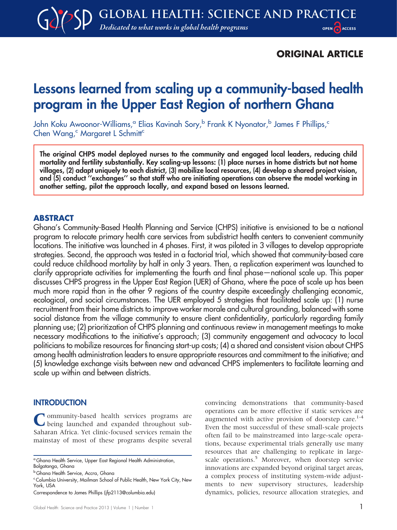## ORIGINAL ARTICLE

# Lessons learned from scaling up a community-based health program in the Upper East Region of northern Ghana

John Koku Awoonor-Williams,<sup>a</sup> Elias Kavinah Sory,<sup>b</sup> Frank K Nyonator,<sup>b</sup> James F Phillips,<sup>c</sup> Chen Wang,<sup>c</sup> Margaret L Schmitt<sup>c</sup>

The original CHPS model deployed nurses to the community and engaged local leaders, reducing child mortality and fertility substantially. Key scaling-up lessons: (1) place nurses in home districts but not home villages, (2) adapt uniquely to each district, (3) mobilize local resources, (4) develop a shared project vision, and (5) conduct ''exchanges'' so that staff who are initiating operations can observe the model working in another setting, pilot the approach locally, and expand based on lessons learned.

#### ABSTRACT

Ghana's Community-Based Health Planning and Service (CHPS) initiative is envisioned to be a national program to relocate primary health care services from subdistrict health centers to convenient community locations. The initiative was launched in 4 phases. First, it was piloted in 3 villages to develop appropriate strategies. Second, the approach was tested in a factorial trial, which showed that community-based care could reduce childhood mortality by half in only 3 years. Then, a replication experiment was launched to clarify appropriate activities for implementing the fourth and final phase—national scale up. This paper discusses CHPS progress in the Upper East Region (UER) of Ghana, where the pace of scale up has been much more rapid than in the other 9 regions of the country despite exceedingly challenging economic, ecological, and social circumstances. The UER employed 5 strategies that facilitated scale up: (1) nurse recruitment from their home districts to improve worker morale and cultural grounding, balanced with some social distance from the village community to ensure client confidentiality, particularly regarding family planning use; (2) prioritization of CHPS planning and continuous review in management meetings to make necessary modifications to the initiative's approach; (3) community engagement and advocacy to local politicians to mobilize resources for financing start-up costs; (4) a shared and consistent vision about CHPS among health administration leaders to ensure appropriate resources and commitment to the initiative; and (5) knowledge exchange visits between new and advanced CHPS implementers to facilitate learning and scale up within and between districts.

#### **INTRODUCTION**

**Community-based health services programs are** being launched and expanded throughout sub-Saharan Africa. Yet clinic-focused services remain the mainstay of most of these programs despite several

Correspondence to James Phillips (jfp2113@columbia.edu)

convincing demonstrations that community-based operations can be more effective if static services are augmented with active provision of doorstep care. $1-4$ Even the most successful of these small-scale projects often fail to be mainstreamed into large-scale operations, because experimental trials generally use many resources that are challenging to replicate in largescale operations.<sup>5</sup> Moreover, when doorstep service innovations are expanded beyond original target areas, a complex process of instituting system-wide adjustments to new supervisory structures, leadership dynamics, policies, resource allocation strategies, and

aGhana Health Service, Upper East Regional Health Administration, Bolgatanga, Ghana

**b** Ghana Health Service, Accra, Ghana

<sup>&</sup>lt;sup>c</sup> Columbia University, Mailman School of Public Health, New York City, New York, USA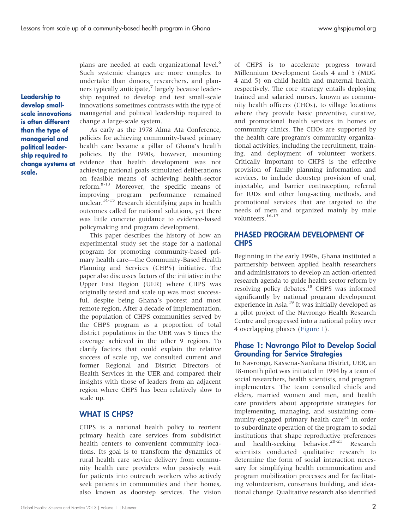Leadership to develop smallscale innovations is often different than the type of managerial and political leadership required to change systems at scale.

plans are needed at each organizational level.<sup>6</sup> Such systemic changes are more complex to undertake than donors, researchers, and planners typically anticipate,<sup>7</sup> largely because leadership required to develop and test small-scale innovations sometimes contrasts with the type of managerial and political leadership required to change a large-scale system.

As early as the 1978 Alma Ata Conference, policies for achieving community-based primary health care became a pillar of Ghana's health policies. By the 1990s, however, mounting evidence that health development was not achieving national goals stimulated deliberations on feasible means of achieving health-sector reform.8-13 Moreover, the specific means of improving program performance remained unclear.<sup>14-15</sup> Research identifying gaps in health outcomes called for national solutions, yet there was little concrete guidance to evidence-based policymaking and program development.

This paper describes the history of how an experimental study set the stage for a national program for promoting community-based primary health care—the Community-Based Health Planning and Services (CHPS) initiative. The paper also discusses factors of the initiative in the Upper East Region (UER) where CHPS was originally tested and scale up was most successful, despite being Ghana's poorest and most remote region. After a decade of implementation, the population of CHPS communities served by the CHPS program as a proportion of total district populations in the UER was 5 times the coverage achieved in the other 9 regions. To clarify factors that could explain the relative success of scale up, we consulted current and former Regional and District Directors of Health Services in the UER and compared their insights with those of leaders from an adjacent region where CHPS has been relatively slow to scale up.

#### WHAT IS CHPS?

CHPS is a national health policy to reorient primary health care services from subdistrict health centers to convenient community locations. Its goal is to transform the dynamics of rural health care service delivery from community health care providers who passively wait for patients into outreach workers who actively seek patients in communities and their homes, also known as doorstep services. The vision

of CHPS is to accelerate progress toward Millennium Development Goals 4 and 5 (MDG 4 and 5) on child health and maternal health, respectively. The core strategy entails deploying trained and salaried nurses, known as community health officers (CHOs), to village locations where they provide basic preventive, curative, and promotional health services in homes or community clinics. The CHOs are supported by the health care program's community organizational activities, including the recruitment, training, and deployment of volunteer workers. Critically important to CHPS is the effective provision of family planning information and services, to include doorstep provision of oral, injectable, and barrier contraception, referral for IUDs and other long-acting methods, and promotional services that are targeted to the needs of men and organized mainly by male volunteers.16-17

#### PHASED PROGRAM DEVELOPMENT OF **CHPS**

Beginning in the early 1990s, Ghana instituted a partnership between applied health researchers and administrators to develop an action-oriented research agenda to guide health sector reform by resolving policy debates.<sup>18</sup> CHPS was informed significantly by national program development experience in Asia.<sup>19</sup> It was initially developed as a pilot project of the Navrongo Health Research Centre and progressed into a national policy over 4 overlapping phases [\(Figure 1\)](#page-2-0).

#### Phase 1: Navrongo Pilot to Develop Social Grounding for Service Strategies

In Navrongo, Kassena-Nankana District, UER, an 18-month pilot was initiated in 1994 by a team of social researchers, health scientists, and program implementers. The team consulted chiefs and elders, married women and men, and health care providers about appropriate strategies for implementing, managing, and sustaining community-engaged primary health care<sup>14</sup> in order to subordinate operation of the program to social institutions that shape reproductive preferences and health-seeking behavior.<sup>20-21</sup> Research scientists conducted qualitative research to determine the form of social interaction necessary for simplifying health communication and program mobilization processes and for facilitating volunteerism, consensus building, and ideational change. Qualitative research also identified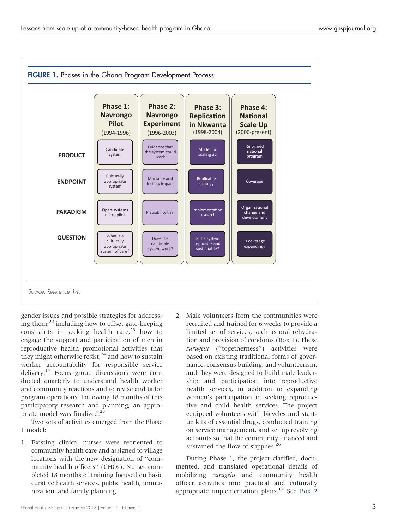<span id="page-2-0"></span>

gender issues and possible strategies for addressing them, $^{22}$  including how to offset gate-keeping constraints in seeking health care, $2^3$  how to engage the support and participation of men in reproductive health promotional activities that they might otherwise resist, $24$  and how to sustain worker accountability for responsible service delivery.<sup>17</sup> Focus group discussions were conducted quarterly to understand health worker and community reactions and to revise and tailor program operations. Following 18 months of this participatory research and planning, an appropriate model was finalized.<sup>2</sup>

Two sets of activities emerged from the Phase 1 model:

- 1. Existing clinical nurses were reoriented to community health care and assigned to village locations with the new designation of ''community health officers'' (CHOs). Nurses completed 18 months of training focused on basic curative health services, public health, immunization, and family planning.
- 2. Male volunteers from the communities were recruited and trained for 6 weeks to provide a limited set of services, such as oral rehydration and provision of condoms ([Box 1](#page-3-0)). These zurugelu ("togetherness") activities were based on existing traditional forms of governance, consensus building, and volunteerism, and they were designed to build male leadership and participation into reproductive health services, in addition to expanding women's participation in seeking reproductive and child health services. The project equipped volunteers with bicycles and startup kits of essential drugs, conducted training on service management, and set up revolving accounts so that the community financed and sustained the flow of supplies.<sup>26</sup>

During Phase 1, the project clarified, documented, and translated operational details of mobilizing zurugelu and community health officer activities into practical and culturally appropriate implementation plans.<sup>17</sup> See [Box 2](#page-3-0)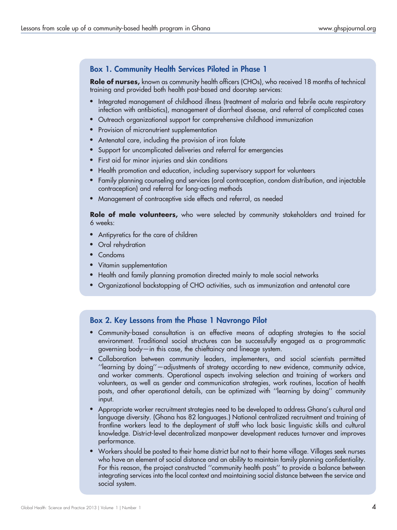#### <span id="page-3-0"></span>Box 1. Community Health Services Piloted in Phase 1

Role of nurses, known as community health officers (CHOs), who received 18 months of technical training and provided both health post-based and doorstep services:

- Integrated management of childhood illness (treatment of malaria and febrile acute respiratory infection with antibiotics), management of diarrheal disease, and referral of complicated cases
- Outreach organizational support for comprehensive childhood immunization
- Provision of micronutrient supplementation
- Antenatal care, including the provision of iron folate
- Support for uncomplicated deliveries and referral for emergencies
- First aid for minor injuries and skin conditions
- Health promotion and education, including supervisory support for volunteers
- Family planning counseling and services (oral contraception, condom distribution, and injectable contraception) and referral for long-acting methods
- Management of contraceptive side effects and referral, as needed

Role of male volunteers, who were selected by community stakeholders and trained for 6 weeks:

- Antipyretics for the care of children
- Oral rehydration
- Condoms
- Vitamin supplementation
- Health and family planning promotion directed mainly to male social networks
- Organizational backstopping of CHO activities, such as immunization and antenatal care

#### Box 2. Key Lessons from the Phase 1 Navrongo Pilot

- N Community-based consultation is an effective means of adapting strategies to the social environment. Traditional social structures can be successfully engaged as a programmatic governing body—in this case, the chieftaincy and lineage system.
- N Collaboration between community leaders, implementers, and social scientists permitted ''learning by doing''—adjustments of strategy according to new evidence, community advice, and worker comments. Operational aspects involving selection and training of workers and volunteers, as well as gender and communication strategies, work routines, location of health posts, and other operational details, can be optimized with ''learning by doing'' community input.
- Appropriate worker recruitment strategies need to be developed to address Ghana's cultural and language diversity. (Ghana has 82 languages.) National centralized recruitment and training of frontline workers lead to the deployment of staff who lack basic linguistic skills and cultural knowledge. District-level decentralized manpower development reduces turnover and improves performance.
- N Workers should be posted to their home district but not to their home village. Villages seek nurses who have an element of social distance and an ability to maintain family planning confidentiality. For this reason, the project constructed ''community health posts'' to provide a balance between integrating services into the local context and maintaining social distance between the service and social system.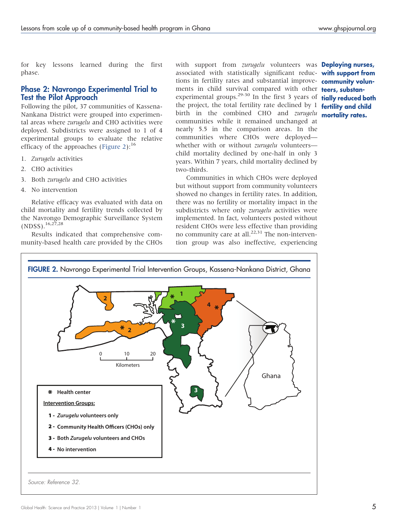for key lessons learned during the first phase.

#### Phase 2: Navrongo Experimental Trial to Test the Pilot Approach

Following the pilot, 37 communities of Kassena-Nankana District were grouped into experimental areas where zurugelu and CHO activities were deployed. Subdistricts were assigned to 1 of 4 experimental groups to evaluate the relative efficacy of the approaches (Figure 2):<sup>16</sup>

- 1. Zurugelu activities
- 2. CHO activities
- 3. Both zurugelu and CHO activities
- 4. No intervention

Relative efficacy was evaluated with data on child mortality and fertility trends collected by the Navrongo Demographic Surveillance System  $(NDSS).$ <sup>16,27,28</sup>

Results indicated that comprehensive community-based health care provided by the CHOs

with support from *zurugelu* volunteers was **Deploying nurses,** associated with statistically significant reduc- with support from tions in fertility rates and substantial improve- community volunments in child survival compared with other **teers, substan**experimental groups.<sup>29-30</sup> In the first 3 years of **tially reduced both** the project, the total fertility rate declined by 1 **fertility and child** birth in the combined CHO and *zurugelu* mortality rates. communities while it remained unchanged at nearly 5.5 in the comparison areas. In the communities where CHOs were deployed whether with or without zurugelu volunteerschild mortality declined by one-half in only 3 years. Within 7 years, child mortality declined by two-thirds.

Communities in which CHOs were deployed but without support from community volunteers showed no changes in fertility rates. In addition, there was no fertility or mortality impact in the subdistricts where only *zurugelu* activities were implemented. In fact, volunteers posted without resident CHOs were less effective than providing no community care at all. $^{22,31}$  The non-intervention group was also ineffective, experiencing



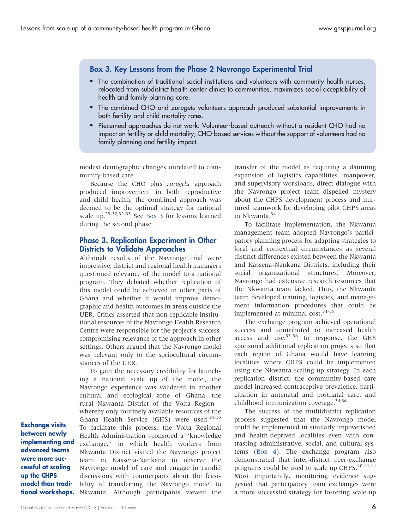#### Box 3. Key Lessons from the Phase 2 Navrongo Experimental Trial

- The combination of traditional social institutions and volunteers with community health nurses, relocated from subdistrict health center clinics to communities, maximizes social acceptability of health and family planning care.
- The combined CHO and zurugelu volunteers approach produced substantial improvements in both fertility and child mortality rates.
- Piecemeal approaches do not work: Volunteer-based outreach without a resident CHO had no impact on fertility or child mortality; CHO-based services without the support of volunteers had no family planning and fertility impact.

modest demographic changes unrelated to community-based care.

Because the CHO plus zurugelu approach produced improvement in both reproductive and child health, the combined approach was deemed to be the optimal strategy for national scale up.<sup>29-30,32-33</sup> See Box 3 for lessons learned during the second phase.

#### Phase 3. Replication Experiment in Other Districts to Validate Approaches

Although results of the Navrongo trial were impressive, district and regional health managers questioned relevance of the model to a national program. They debated whether replication of this model could be achieved in other parts of Ghana and whether it would improve demographic and health outcomes in areas outside the UER. Critics asserted that non-replicable institutional resources of the Navrongo Health Research Centre were responsible for the project's success, compromising relevance of the approach in other settings. Others argued that the Navrongo model was relevant only to the sociocultural circumstances of the UER.

To gain the necessary credibility for launching a national scale up of the model, the Navrongo experience was validated in another cultural and ecological zone of Ghana—the rural Nkwanta District of the Volta Region whereby only routinely available resources of the Ghana Health Service (GHS) were used.<sup>14-15</sup> To facilitate this process, the Volta Regional Health Administration sponsored a ''knowledge exchange,'' in which health workers from Nkwanta District visited the Navrongo project team in Kassena-Nankana to observe the Navrongo model of care and engage in candid discussions with counterparts about the feasibility of transferring the Navrongo model to Nkwanta. Although participants viewed the transfer of the model as requiring a daunting expansion of logistics capabilities, manpower, and supervisory workloads, direct dialogue with the Navrongo project team dispelled mystery about the CHPS development process and nurtured teamwork for developing pilot CHPS areas in Nkwanta.<sup>34</sup>

To facilitate implementation, the Nkwanta management team adopted Navrongo's participatory planning process for adapting strategies to local and contextual circumstances as several distinct differences existed between the Nkwanta and Kassena-Nankana Districts, including their social organizational structures. Moreover, Navrongo had extensive research resources that the Nkwanta team lacked. Thus, the Nkwanta team developed training, logistics, and management information procedures that could be implemented at minimal cost.<sup>34-35</sup>

The exchange program achieved operational success and contributed to increased health access and use.<sup>35-36</sup> In response, the GHS sponsored additional replication projects so that each region of Ghana would have learning localities where CHPS could be implemented using the Nkwanta scaling-up strategy. In each replication district, the community-based care model increased contraceptive prevalence, participation in antenatal and postnatal care, and childhood immunization coverage.<sup>34,36</sup>

The success of the multidistrict replication process suggested that the Navrongo model could be implemented in similarly impoverished and health-deprived localities even with contrasting administrative, social, and cultural systems [\(Box 4\)](#page-6-0). The exchange program also demonstrated that inter-district peer-exchange programs could be used to scale up CHPS.<sup>40-41,14</sup> Most importantly, monitoring evidence suggested that participatory team exchanges were a more successful strategy for fostering scale up

Exchange visits between newly implementing and advanced teams were more successful at scaling up the CHPS model than traditional workshops.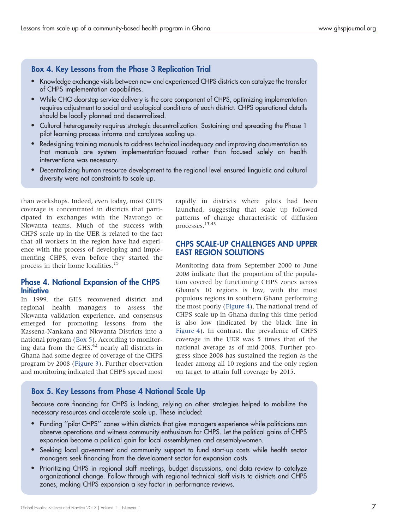# <span id="page-6-0"></span>Box 4. Key Lessons from the Phase 3 Replication Trial

- Knowledge exchange visits between new and experienced CHPS districts can catalyze the transfer of CHPS implementation capabilities.
- While CHO doorstep service delivery is the core component of CHPS, optimizing implementation requires adjustment to social and ecological conditions of each district. CHPS operational details should be locally planned and decentralized.
- Cultural heterogeneity requires strategic decentralization. Sustaining and spreading the Phase 1 pilot learning process informs and catalyzes scaling up.
- Redesigning training manuals to address technical inadequacy and improving documentation so that manuals are system implementation-focused rather than focused solely on health interventions was necessary.
- N Decentralizing human resource development to the regional level ensured linguistic and cultural diversity were not constraints to scale up.

than workshops. Indeed, even today, most CHPS coverage is concentrated in districts that participated in exchanges with the Navrongo or Nkwanta teams. Much of the success with CHPS scale up in the UER is related to the fact that all workers in the region have had experience with the process of developing and implementing CHPS, even before they started the process in their home localities.<sup>15</sup>

### Phase 4. National Expansion of the CHPS **Initiative**

In 1999, the GHS reconvened district and regional health managers to assess the Nkwanta validation experience, and consensus emerged for promoting lessons from the Kassena-Nankana and Nkwanta Districts into a national program (Box 5). According to monitoring data from the GHS, $42$  nearly all districts in Ghana had some degree of coverage of the CHPS program by 2008 ([Figure 3](#page-7-0)). Further observation and monitoring indicated that CHPS spread most

rapidly in districts where pilots had been launched, suggesting that scale up followed patterns of change characteristic of diffusion processes.15,43

#### CHPS SCALE-UP CHALLENGES AND UPPER EAST REGION SOLUTIONS

Monitoring data from September 2000 to June 2008 indicate that the proportion of the population covered by functioning CHPS zones across Ghana's 10 regions is low, with the most populous regions in southern Ghana performing the most poorly [\(Figure 4\)](#page-8-0). The national trend of CHPS scale up in Ghana during this time period is also low (indicated by the black line in [Figure 4\)](#page-8-0). In contrast, the prevalence of CHPS coverage in the UER was 5 times that of the national average as of mid-2008. Further progress since 2008 has sustained the region as the leader among all 10 regions and the only region on target to attain full coverage by 2015.

### Box 5. Key Lessons from Phase 4 National Scale Up

Because core financing for CHPS is lacking, relying on other strategies helped to mobilize the necessary resources and accelerate scale up. These included:

- Funding "pilot CHPS" zones within districts that give managers experience while politicians can observe operations and witness community enthusiasm for CHPS. Let the political gains of CHPS expansion become a political gain for local assemblymen and assemblywomen.
- Seeking local government and community support to fund start-up costs while health sector managers seek financing from the development sector for expansion costs
- Prioritizing CHPS in regional staff meetings, budget discussions, and data review to catalyze organizational change. Follow through with regional technical staff visits to districts and CHPS zones, making CHPS expansion a key factor in performance reviews.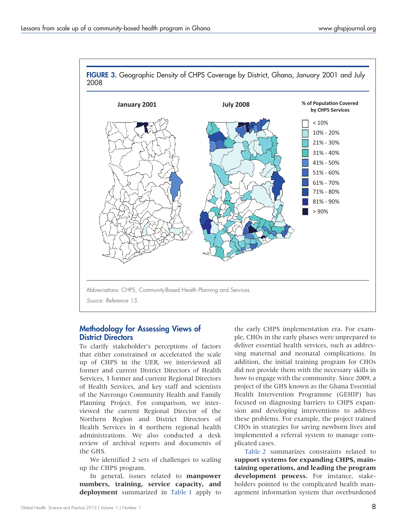<span id="page-7-0"></span>

#### Methodology for Assessing Views of District Directors

To clarify stakeholder's perceptions of factors that either constrained or accelerated the scale up of CHPS in the UER, we interviewed all former and current District Directors of Health Services, 3 former and current Regional Directors of Health Services, and key staff and scientists of the Navrongo Community Health and Family Planning Project. For comparison, we interviewed the current Regional Director of the Northern Region and District Directors of Health Services in 4 northern regional health administrations. We also conducted a desk review of archival reports and documents of the GHS.

We identified 2 sets of challenges to scaling up the CHPS program.

In general, issues related to manpower numbers, training, service capacity, and deployment summarized in [Table 1](#page-9-0) apply to

the early CHPS implementation era. For example, CHOs in the early phases were unprepared to deliver essential health services, such as addressing maternal and neonatal complications. In addition, the initial training program for CHOs did not provide them with the necessary skills in how to engage with the community. Since 2009, a project of the GHS known as the Ghana Essential Health Intervention Programme (GEHIP) has focused on diagnosing barriers to CHPS expansion and developing interventions to address these problems. For example, the project trained CHOs in strategies for saving newborn lives and implemented a referral system to manage complicated cases.

[Table 2](#page-11-0) summarizes constraints related to support systems for expanding CHPS, maintaining operations, and leading the program development process. For instance, stakeholders pointed to the complicated health management information system that overburdened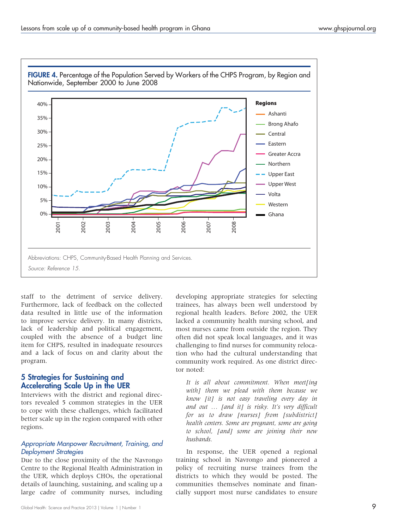<span id="page-8-0"></span>

staff to the detriment of service delivery. Furthermore, lack of feedback on the collected data resulted in little use of the information to improve service delivery. In many districts, lack of leadership and political engagement, coupled with the absence of a budget line item for CHPS, resulted in inadequate resources and a lack of focus on and clarity about the program.

#### 5 Strategies for Sustaining and Accelerating Scale Up in the UER

Interviews with the district and regional directors revealed 5 common strategies in the UER to cope with these challenges, which facilitated better scale up in the region compared with other regions.

#### Appropriate Manpower Recruitment, Training, and Deployment Strategies

Due to the close proximity of the the Navrongo Centre to the Regional Health Administration in the UER, which deploys CHOs, the operational details of launching, sustaining, and scaling up a large cadre of community nurses, including developing appropriate strategies for selecting trainees, has always been well understood by regional health leaders. Before 2002, the UER lacked a community health nursing school, and most nurses came from outside the region. They often did not speak local languages, and it was challenging to find nurses for community relocation who had the cultural understanding that community work required. As one district director noted:

It is all about commitment. When meet[ing with] them we plead with them because we know [it] is not easy traveling every day in and out … [and it] is risky. It's very difficult for us to draw [nurses] from [subdistrict] health centers. Some are pregnant, some are going to school, [and] some are joining their new husbands.

In response, the UER opened a regional training school in Navrongo and pioneered a policy of recruiting nurse trainees from the districts to which they would be posted. The communities themselves nominate and financially support most nurse candidates to ensure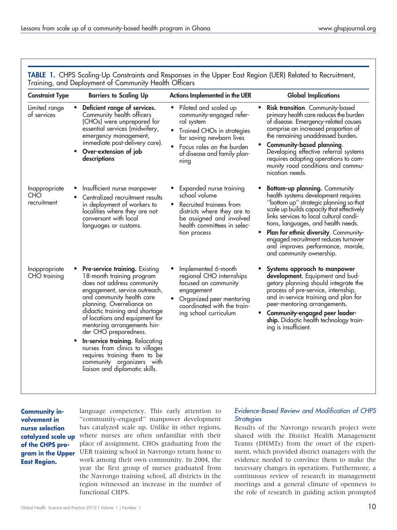| <b>Constraint Type</b>                     | <b>Barriers to Scaling Up</b>                                                                                                                                                                                                                                                                                                                                                                                                                                                                             | Actions Implemented in the UER                                                                                                                                                                  | <b>Global Implications</b>                                                                                                                                                                                                                                                                                                                                                                                          |
|--------------------------------------------|-----------------------------------------------------------------------------------------------------------------------------------------------------------------------------------------------------------------------------------------------------------------------------------------------------------------------------------------------------------------------------------------------------------------------------------------------------------------------------------------------------------|-------------------------------------------------------------------------------------------------------------------------------------------------------------------------------------------------|---------------------------------------------------------------------------------------------------------------------------------------------------------------------------------------------------------------------------------------------------------------------------------------------------------------------------------------------------------------------------------------------------------------------|
| Limited range<br>of services               | Deficient range of services.<br>Community health officers<br>(CHOs) were unprepared for<br>essential services (midwifery,<br>emergency management,<br>immediate post-delivery care).<br>Over-extension of job<br>$\bullet$<br>descriptions                                                                                                                                                                                                                                                                | Piloted and scaled up<br>community-engaged refer-<br>ral system<br>• Trained CHOs in strategies<br>for saving newborn lives<br>Focus roles on the burden<br>of disease and family plan-<br>ning | <b>Risk transition.</b> Community-based<br>primary health care reduces the burden<br>of disease. Emergency-related causes<br>comprise an increased proportion of<br>the remaining unaddressed burden.<br>Community-based planning.<br>$\bullet$<br>Developing effective referral systems<br>requires adapting operations to com-<br>munity road conditions and commu-<br>nication needs.                            |
| Inappropriate<br><b>CHO</b><br>recruitment | Insufficient nurse manpower<br>Centralized recruitment results<br>in deployment of workers to<br>localities where they are not<br>conversant with local<br>languages or customs.                                                                                                                                                                                                                                                                                                                          | Expanded nurse training<br>school volume<br>Recruited trainees from<br>$\bullet$<br>districts where they are to<br>be assigned and involved<br>health committees in selec-<br>tion process      | <b>Bottom-up planning.</b> Community<br>health systems development requires<br>"bottom up" strategic planning so that<br>scale up builds capacity that effectively<br>links services to local cultural condi-<br>tions, languages, and health needs.<br>Plan for ethnic diversity. Community-<br>$\bullet$<br>engaged recruitment reduces turnover<br>and improves performance, morale,<br>and community ownership. |
| Inappropriate<br>CHO training              | <b>Pre-service training.</b> Existing<br>18-month training program<br>does not address community<br>engagement, service outreach,<br>and community health care<br>planning. Overreliance on<br>didactic training and shortage<br>of locations and equipment for<br>mentoring arrangements hin-<br>der CHO preparedness.<br>In-service training. Relocating<br>$\bullet$<br>nurses from clinics to villages<br>requires training them to be<br>community organizers with<br>liaison and diplomatic skills. | Implemented 6-month<br>regional CHO internships<br>focused on community<br>engagement<br>Organized peer mentoring<br>coordinated with the train-<br>ing school curriculum                       | Systems approach to manpower<br>development. Equipment and bud-<br>getary planning should integrate the<br>process of pre-service, internship,<br>and in-service training and plan for<br>peer-mentoring arrangements.<br>Community-engaged peer leader-<br>٠<br>ship. Didactic health technology train-<br>ing is insufficient.                                                                                    |

<span id="page-9-0"></span>TABLE 1. CHPS Scaling-Up Constraints and Responses in the Upper East Region (UER) Related to Recruitment,

Community involvement in nurse selection catalyzed scale up of the CHPS program in the Upper East Region.

language competency. This early attention to ''community-engaged'' manpower development has catalyzed scale up. Unlike in other regions, where nurses are often unfamiliar with their place of assignment, CHOs graduating from the UER training school in Navrongo return home to work among their own community. In 2004, the year the first group of nurses graduated from the Navrongo training school, all districts in the region witnessed an increase in the number of functional CHPS.

#### Evidence-Based Review and Modification of CHPS **Strategies**

Results of the Navrongo research project were shared with the District Health Management Teams (DHMTs) from the onset of the experiment, which provided district managers with the evidence needed to convince them to make the necessary changes in operations. Furthermore, a continuous review of research in management meetings and a general climate of openness to the role of research in guiding action prompted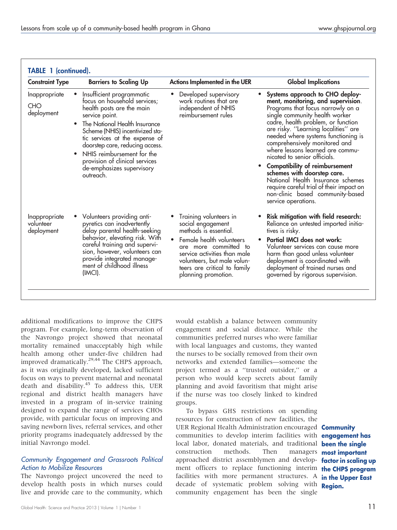| <b>Constraint Type</b>                    | <b>Barriers to Scaling Up</b>                                                                                                                                                                                                                                                                                                                               | Actions Implemented in the UER                                                                                                                                                                                                                  | <b>Global Implications</b>                                                                                                                                                                                                                                                                                                                                                                                                                                                                                                                                                                              |
|-------------------------------------------|-------------------------------------------------------------------------------------------------------------------------------------------------------------------------------------------------------------------------------------------------------------------------------------------------------------------------------------------------------------|-------------------------------------------------------------------------------------------------------------------------------------------------------------------------------------------------------------------------------------------------|---------------------------------------------------------------------------------------------------------------------------------------------------------------------------------------------------------------------------------------------------------------------------------------------------------------------------------------------------------------------------------------------------------------------------------------------------------------------------------------------------------------------------------------------------------------------------------------------------------|
| Inappropriate<br><b>CHO</b><br>deployment | Insufficient programmatic<br>focus on household services;<br>health posts are the main<br>service point.<br>The National Health Insurance<br>Scheme (NHIS) incentivized sta-<br>tic services at the expense of<br>doorstep care, reducing access.<br>NHIS reimbursement for the<br>provision of clinical services<br>de-emphasizes supervisory<br>outreach. | Developed supervisory<br>work routines that are<br>independent of NHIS<br>reimbursement rules                                                                                                                                                   | Systems approach to CHO deploy-<br>$\bullet$<br>ment, monitoring, and supervision.<br>Programs that focus narrowly on a<br>single community health worker<br>cadre, health problem, or function<br>are risky. "Learning localities" are<br>needed where systems functioning is<br>comprehensively monitored and<br>where lessons learned are commu-<br>nicated to senior officials.<br><b>Compatibility of reimbursement</b><br>schemes with doorstep care.<br>National Health Insurance schemes<br>require careful trial of their impact on<br>non-clinic based community-based<br>service operations. |
| Inappropriate<br>volunteer<br>deployment  | Volunteers providing anti-<br>pyretics can inadvertently<br>delay parental health-seeking<br>behavior, elevating risk. With<br>careful training and supervi-<br>sion, however, volunteers can<br>provide integrated manage-<br>ment of childhood illness<br>(IMCI).                                                                                         | Training volunteers in<br>social engagement<br>methods is essential.<br>Female health volunteers<br>are more committed to<br>service activities than male<br>volunteers, but male volun-<br>teers are critical to family<br>planning promotion. | Risk mitigation with field research:<br>Reliance on untested imported initia-<br>tives is risky.<br><b>Partial IMCI does not work:</b><br>Volunteer services can cause more<br>harm than good unless volunteer<br>deployment is coordinated with<br>deployment of trained nurses and<br>governed by rigorous supervision.                                                                                                                                                                                                                                                                               |

additional modifications to improve the CHPS program. For example, long-term observation of the Navrongo project showed that neonatal mortality remained unacceptably high while health among other under-five children had improved dramatically. $29,44$  The CHPS approach, as it was originally developed, lacked sufficient focus on ways to prevent maternal and neonatal death and disability.<sup>45</sup> To address this, UER regional and district health managers have invested in a program of in-service training designed to expand the range of services CHOs provide, with particular focus on improving and saving newborn lives, referral services, and other priority programs inadequately addressed by the initial Navrongo model.

#### Community Engagement and Grassroots Political Action to Mobilize Resources

The Navrongo project uncovered the need to develop health posts in which nurses could live and provide care to the community, which would establish a balance between community engagement and social distance. While the communities preferred nurses who were familiar with local languages and customs, they wanted the nurses to be socially removed from their own networks and extended families—someone the project termed as a ''trusted outsider,'' or a person who would keep secrets about family planning and avoid favoritism that might arise if the nurse was too closely linked to kindred groups.

To bypass GHS restrictions on spending resources for construction of new facilities, the UER Regional Health Administration encouraged **Community** communities to develop interim facilities with **engagement has** local labor, donated materials, and traditional **been the single** construction methods. Then managers most important approached district assemblymen and develop- factor in scaling up ment officers to replace functioning interim the CHPS program facilities with more permanent structures. A in the Upper East decade of systematic problem solving with **Region.** community engagement has been the single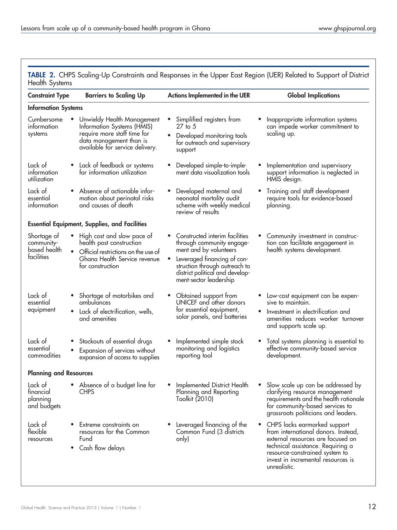| <b>Constraint Type</b>                                  | <b>Barriers to Scaling Up</b>                                                                                                                                               | Actions Implemented in the UER                                                                                                                                                                                          | <b>Global Implications</b>                                                                                                                                                                                                              |
|---------------------------------------------------------|-----------------------------------------------------------------------------------------------------------------------------------------------------------------------------|-------------------------------------------------------------------------------------------------------------------------------------------------------------------------------------------------------------------------|-----------------------------------------------------------------------------------------------------------------------------------------------------------------------------------------------------------------------------------------|
| <b>Information Systems</b>                              |                                                                                                                                                                             |                                                                                                                                                                                                                         |                                                                                                                                                                                                                                         |
| Cumbersome<br>information<br>systems                    | Unwieldy Health Management<br>$\bullet$<br>Information Systems (HMIS)<br>require more staff time for<br>data management than is<br>available for service delivery.          | Simplified registers from<br>$27$ to $5$<br>$\bullet$<br>Developed monitoring tools<br>for outreach and supervisory<br>support                                                                                          | Inappropriate information systems<br>can impede worker commitment to<br>scaling up.                                                                                                                                                     |
| Lack of<br>information<br>utilization                   | Lack of feedback or systems<br>٠<br>for information utilization                                                                                                             | Developed simple-to-imple-<br>٠<br>ment data visualization tools                                                                                                                                                        | Implementation and supervisory<br>$\bullet$<br>support information is neglected in<br>HMIS design.                                                                                                                                      |
| Lack of<br>essential<br>information                     | Absence of actionable infor-<br>mation about perinatal risks<br>and causes of death                                                                                         | Developed maternal and<br>$\bullet$<br>neonatal mortality audit<br>scheme with weekly medical<br>review of results                                                                                                      | Training and staff development<br>٠<br>require tools for evidence-based<br>planning.                                                                                                                                                    |
|                                                         | <b>Essential Equipment, Supplies, and Facilities</b>                                                                                                                        |                                                                                                                                                                                                                         |                                                                                                                                                                                                                                         |
| Shortage of<br>community-<br>based health<br>facilities | High cost and slow pace of<br>$\bullet$<br>health post construction<br>$\bullet$<br>Official restrictions on the use of<br>Ghana Health Service revenue<br>for construction | Constructed interim facilities<br>through community engage-<br>ment and by volunteers<br>Leveraged financing of con-<br>٠<br>struction through outreach to<br>district political and develop-<br>ment-sector leadership | Community investment in construc-<br>tion can facilitate engagement in<br>health systems development.                                                                                                                                   |
| Lack of<br>essential<br>equipment                       | Shortage of motorbikes and<br>ambulances<br>Lack of electrification, wells,<br>$\bullet$<br>and amenities                                                                   | Obtained support from<br>$\bullet$<br>UNICEF and other donors<br>for essential equipment,<br>solar panels, and batteries                                                                                                | Low-cost equipment can be expen-<br>sive to maintain.<br>Investment in electrification and<br>$\bullet$<br>amenities reduces worker turnover<br>and supports scale up.                                                                  |
| Lack of<br>essential<br>commodities                     | Stockouts of essential drugs<br>Expansion of services without<br>$\bullet$<br>expansion of access to supplies                                                               | Implemented simple stock<br>monitoring and logistics<br>reporting tool                                                                                                                                                  | Total systems planning is essential to<br>effective community-based service<br>development.                                                                                                                                             |
| <b>Planning and Resources</b>                           |                                                                                                                                                                             |                                                                                                                                                                                                                         |                                                                                                                                                                                                                                         |
| Lack of<br>financial<br>planning<br>and budgets         | • Absence of a budget line for<br><b>CHPS</b>                                                                                                                               | Implemented District Health<br>$\bullet$<br>Planning and Reporting<br>Toolkit (2010)                                                                                                                                    | • Slow scale up can be addressed by<br>clarifying resource management<br>requirements and the health rationale<br>for community-based services to<br>grassroots politicians and leaders.                                                |
| Lack of<br>flexible<br>resources                        | Extreme constraints on<br>resources for the Common<br>Fund<br>• Cash flow delays                                                                                            | Leveraged financing of the<br>Common Fund (3 districts<br>only)                                                                                                                                                         | • CHPS lacks earmarked support<br>from international donors. Instead,<br>external resources are focused on<br>technical assistance. Requiring a<br>resource-constrained system to<br>invest in incremental resources is<br>unrealistic. |

<span id="page-11-0"></span>TABLE 2. CHPS Scaling-Up Constraints and Responses in the Upper East Region (UER) Related to Support of District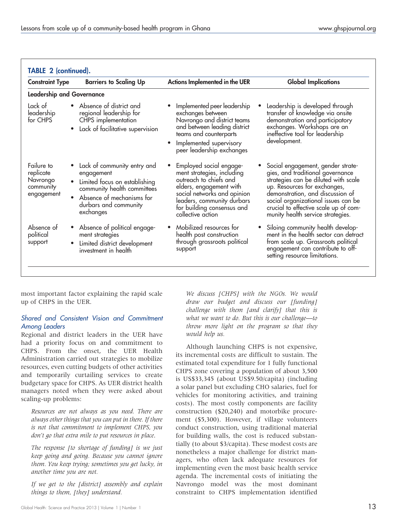| <b>Constraint Type</b>                                         | <b>Barriers to Scaling Up</b>                                                                                                                                                                                       | Actions Implemented in the UER                                                                                                                                                                                             | <b>Global Implications</b>                                                                                                                                                                                                                                                                             |
|----------------------------------------------------------------|---------------------------------------------------------------------------------------------------------------------------------------------------------------------------------------------------------------------|----------------------------------------------------------------------------------------------------------------------------------------------------------------------------------------------------------------------------|--------------------------------------------------------------------------------------------------------------------------------------------------------------------------------------------------------------------------------------------------------------------------------------------------------|
|                                                                | <b>Leadership and Governance</b>                                                                                                                                                                                    |                                                                                                                                                                                                                            |                                                                                                                                                                                                                                                                                                        |
| Lack of<br>leadership<br>for CHPS                              | Absence of district and<br>$\bullet$<br>regional leadership for<br>CHPS implementation<br>Lack of facilitative supervision<br>$\bullet$                                                                             | Implemented peer leadership<br>exchanges between<br>Navrongo and district teams<br>and between leading district<br>teams and counterparts<br>Implemented supervisory<br>peer leadership exchanges                          | Leadership is developed through<br>transfer of knowledge via onsite<br>demonstration and participatory<br>exchanges. Workshops are an<br>ineffective tool for leadership<br>development.                                                                                                               |
| Failure to<br>replicate<br>Navrongo<br>community<br>engagement | Lack of community entry and<br>$\bullet$<br>engagement<br>Limited focus on establishing<br>$\bullet$<br>community health committees<br>Absence of mechanisms for<br>$\bullet$<br>durbars and community<br>exchanges | Employed social engage-<br>ment strategies, including<br>outreach to chiefs and<br>elders, engagement with<br>social networks and opinion<br>leaders, community durbars<br>for building consensus and<br>collective action | Social engagement, gender strate-<br>gies, and traditional governance<br>strategies can be diluted with scale<br>up. Resources for exchanges,<br>demonstration, and discussion of<br>social organizational issues can be<br>crucial to effective scale up of com-<br>munity health service strategies. |
| Absence of<br>political<br>support                             | Absence of political engage-<br>ment strategies<br>Limited district development<br>$\bullet$<br>investment in health                                                                                                | Mobilized resources for<br>health post construction<br>through grassroots political<br>support                                                                                                                             | Siloing community health develop-<br>ment in the health sector can detract<br>from scale up. Grassroots political<br>engagement can contribute to off-<br>setting resource limitations.                                                                                                                |

most important factor explaining the rapid scale up of CHPS in the UER.

#### Shared and Consistent Vision and Commitment Among Leaders

Regional and district leaders in the UER have had a priority focus on and commitment to CHPS. From the onset, the UER Health Administration carried out strategies to mobilize resources, even cutting budgets of other activities and temporarily curtailing services to create budgetary space for CHPS. As UER district health managers noted when they were asked about scaling-up problems:

Resources are not always as you need. There are always other things that you can put in there. If there is not that commitment to implement CHPS, you don't go that extra mile to put resources in place.

The response [to shortage of funding] is we just keep going and going. Because you cannot ignore them. You keep trying; sometimes you get lucky, in another time you are not.

If we get to the [district] assembly and explain things to them, [they] understand.

We discuss [CHPS] with the NGOs. We would draw our budget and discuss our [funding] challenge with them [and clarify] that this is what we want to do. But this is our challenge—to throw more light on the program so that they would help us.

Although launching CHPS is not expensive, its incremental costs are difficult to sustain. The estimated total expenditure for 1 fully functional CHPS zone covering a population of about 3,500 is US\$33,345 (about US\$9.50/capita) (including a solar panel but excluding CHO salaries, fuel for vehicles for monitoring activities, and training costs). The most costly components are facility construction (\$20,240) and motorbike procurement (\$5,300). However, if village volunteers conduct construction, using traditional material for building walls, the cost is reduced substantially (to about \$3/capita). These modest costs are nonetheless a major challenge for district managers, who often lack adequate resources for implementing even the most basic health service agenda. The incremental costs of initiating the Navrongo model was the most dominant constraint to CHPS implementation identified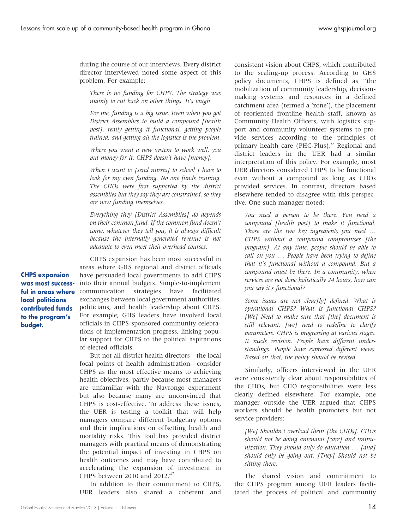during the course of our interviews. Every district director interviewed noted some aspect of this problem. For example:

There is no funding for CHPS. The strategy was mainly to cut back on other things. It's tough.

For me, funding is a big issue. Even when you got District Assemblies to build a compound [health post], really getting it functional, getting people trained, and getting all the logistics is the problem.

Where you want a new system to work well, you put money for it. CHPS doesn't have [money].

When I want to [send nurses] to school I have to look for my own funding. No one funds training. The CHOs were first supported by the district assemblies but they say they are constrained, so they are now funding themselves.

Everything they [District Assemblies] do depends on their common fund. If the common fund doesn't come, whatever they tell you, it is always difficult because the internally generated revenue is not adequate to even meet their overhead courses.

CHPS expansion has been most successful in areas where GHS regional and district officials have persuaded local governments to add CHPS into their annual budgets. Simple-to-implement communication strategies have facilitated exchanges between local government authorities, politicians, and health leadership about CHPS. For example, GHS leaders have involved local officials in CHPS-sponsored community celebrations of implementation progress, linking popular support for CHPS to the political aspirations of elected officials.

But not all district health directors—the local focal points of health administration—consider CHPS as the most effective means to achieving health objectives, partly because most managers are unfamiliar with the Navrongo experiment but also because many are unconvinced that CHPS is cost-effective. To address these issues, the UER is testing a toolkit that will help managers compare different budgetary options and their implications on offsetting health and mortality risks. This tool has provided district managers with practical means of demonstrating the potential impact of investing in CHPS on health outcomes and may have contributed to accelerating the expansion of investment in CHPS between 2010 and 2012.<sup>42</sup>

In addition to their commitment to CHPS, UER leaders also shared a coherent and

consistent vision about CHPS, which contributed to the scaling-up process. According to GHS policy documents, CHPS is defined as ''the mobilization of community leadership, decisionmaking systems and resources in a defined catchment area (termed a 'zone'), the placement of reoriented frontline health staff, known as Community Health Officers, with logistics support and community volunteer systems to provide services according to the principles of primary health care (PHC-Plus).'' Regional and district leaders in the UER had a similar interpretation of this policy. For example, most UER directors considered CHPS to be functional even without a compound as long as CHOs provided services. In contrast, directors based elsewhere tended to disagree with this perspective. One such manager noted:

You need a person to be there. You need a compound [health post] to make it functional. Those are the two key ingredients you need … CHPS without a compound compromises [the program]. At any time, people should be able to call on you … People have been trying to define that it's functional without a compound. But a compound must be there. In a community, when services are not done holistically 24 hours, how can you say it's functional?

Some issues are not clear[ly] defined. What is operational CHPS? What is functional CHPS? [We] Need to make sure that [the] document is still relevant; [we] need to redefine to clarify parameters. CHPS is progressing at various stages. It needs revision. People have different understandings. People have expressed different views. Based on that, the policy should be revised.

Similarly, officers interviewed in the UER were consistently clear about responsibilities of the CHOs, but CHO responsibilities were less clearly defined elsewhere. For example, one manager outside the UER argued that CHPS workers should be health promoters but not service providers:

[We] Shouldn't overload them [the CHOs]. CHOs should not be doing antenatal [care] and immunization. They should only do education … [and] should only be going out. [They] Should not be sitting there.

The shared vision and commitment to the CHPS program among UER leaders facilitated the process of political and community

CHPS expansion was most successful in areas where local politicians contributed funds to the program's budget.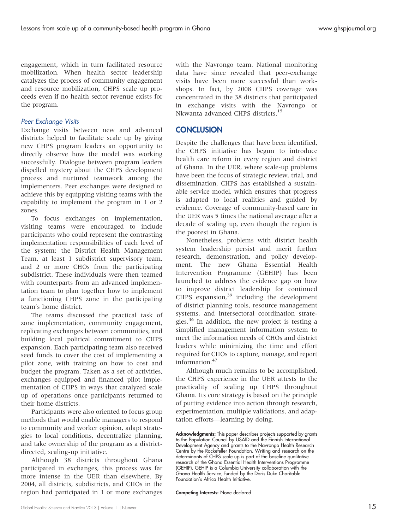engagement, which in turn facilitated resource mobilization. When health sector leadership catalyzes the process of community engagement and resource mobilization, CHPS scale up proceeds even if no health sector revenue exists for the program.

#### Peer Exchange Visits

Exchange visits between new and advanced districts helped to facilitate scale up by giving new CHPS program leaders an opportunity to directly observe how the model was working successfully. Dialogue between program leaders dispelled mystery about the CHPS development process and nurtured teamwork among the implementers. Peer exchanges were designed to achieve this by equipping visiting teams with the capability to implement the program in 1 or 2 zones.

To focus exchanges on implementation, visiting teams were encouraged to include participants who could represent the contrasting implementation responsibilities of each level of the system: the District Health Management Team, at least 1 subdistrict supervisory team, and 2 or more CHOs from the participating subdistrict. These individuals were then teamed with counterparts from an advanced implementation team to plan together how to implement a functioning CHPS zone in the participating team's home district.

The teams discussed the practical task of zone implementation, community engagement, replicating exchanges between communities, and building local political commitment to CHPS expansion. Each participating team also received seed funds to cover the cost of implementing a pilot zone, with training on how to cost and budget the program. Taken as a set of activities, exchanges equipped and financed pilot implementation of CHPS in ways that catalyzed scale up of operations once participants returned to their home districts.

Participants were also oriented to focus group methods that would enable managers to respond to community and worker opinion, adapt strategies to local conditions, decentralize planning, and take ownership of the program as a districtdirected, scaling-up initiative.

Although 38 districts throughout Ghana participated in exchanges, this process was far more intense in the UER than elsewhere. By 2004, all districts, subdistricts, and CHOs in the region had participated in 1 or more exchanges

with the Navrongo team. National monitoring data have since revealed that peer-exchange visits have been more successful than workshops. In fact, by 2008 CHPS coverage was concentrated in the 38 districts that participated in exchange visits with the Navrongo or Nkwanta advanced CHPS districts.<sup>15</sup>

#### **CONCLUSION**

Despite the challenges that have been identified, the CHPS initiative has begun to introduce health care reform in every region and district of Ghana. In the UER, where scale-up problems have been the focus of strategic review, trial, and dissemination, CHPS has established a sustainable service model, which ensures that progress is adapted to local realities and guided by evidence. Coverage of community-based care in the UER was 5 times the national average after a decade of scaling up, even though the region is the poorest in Ghana.

Nonetheless, problems with district health system leadership persist and merit further research, demonstration, and policy development. The new Ghana Essential Health Intervention Programme (GEHIP) has been launched to address the evidence gap on how to improve district leadership for continued CHPS expansion, $39$  including the development of district planning tools, resource management systems, and intersectoral coordination strategies.<sup>46</sup> In addition, the new project is testing a simplified management information system to meet the information needs of CHOs and district leaders while minimizing the time and effort required for CHOs to capture, manage, and report information.<sup>47</sup>

Although much remains to be accomplished, the CHPS experience in the UER attests to the practicality of scaling up CHPS throughout Ghana. Its core strategy is based on the principle of putting evidence into action through research, experimentation, multiple validations, and adaptation efforts—learning by doing.

Competing Interests: None declared

Acknowledgments: This paper describes projects supported by grants to the Population Council by USAID and the Finnish International Development Agency and grants to the Navrongo Health Research Centre by the Rockefeller Foundation. Writing and research on the determinants of CHPS scale up is part of the baseline qualitative research of the Ghana Essential Health Interventions Programme (GEHIP). GEHIP is a Columbia University collaboration with the .<br>Ghana Health Service, funded by the Doris Duke Charitable Foundation's Africa Health Initiative.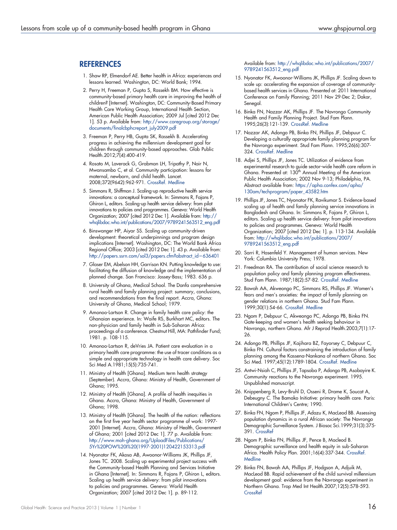#### **REFERENCES**

- 1. Shaw RP, Elmendorf AE. Better health in Africa: experiences and lessons learned. Washington, DC: World Bank; 1994.
- 2. Perry H, Freeman P, Gupta S, Rassekh BM. How effective is community-based primary health care in improving the health of children? [Internet]. Washington, DC: Community-Based Primary Health Care Working Group, International Health Section, American Public Health Association; 2009 Jul [cited 2012 Dec 1]. 53 p. Available from: [http://www.coregroup.org/storage/](http://www.coregroup.org/storage/documents/finalcbphcreport_july2009.pdf) [documents/finalcbphcreport\\_july2009.pdf](http://www.coregroup.org/storage/documents/finalcbphcreport_july2009.pdf)
- 3. Freeman P, Perry HB, Gupta SK, Rassekh B. Accelerating progress in achieving the millennium development goal for children through community-based approaches. Glob Public Health.2012;7(4):400-419.
- 4. Rosato M, Laverack G, Grabman LH, Tripathy P, Nair N, Mwansambo C, et al. Community participation: lessons for maternal, newborn, and child health. Lancet. 2008;372(9642):962-971. [CrossRef.](http://dx.doi.org/10.1016/S0140-6736(08)61406-3) [Medline](http://www.ncbi.nlm.nih.gov/entrez/query.fcgi?cmd=Retrieve&db=PubMed&list_uids=18790319&dopt=Abstract)
- 5. Simmons R, Shiffman J. Scaling-up reproductive health service innovations: a conceptual framework. In: Simmons R, Fajans P, Ghiron L, editors. Scaling-up health service delivery: from pilot innovations to policies and programmes. Geneva: World Health Organization; 2007 [cited 2012 Dec 1]. Available from: [http://](http://whqlibdoc.who.int/publications/2007/9789241563512_eng.pdf) [whqlibdoc.who.int/publications/2007/9789241563512\\_eng.pdf](http://whqlibdoc.who.int/publications/2007/9789241563512_eng.pdf)
- 6. Binswanger HP, Aiyar SS. Scaling up community-driven development: theoretical underpinnings and program design implications [Internet]. Washington, DC: The World Bank Africa Regional Office; 2003 [cited 2012 Dec 1]. 43 p. Available from: [http://papers.ssrn.com/sol3/papers.cfm?abstract\\_id](http://papers.ssrn.com/sol3/papers.cfm?abstract_id=636401)=636401
- 7. Glaser EM, Abelson HH, Garrison KN. Putting knowledge to use: facilitating the diffusion of knowledge and the implementation of planned change. San Francisco: Jossey-Bass; 1983. 636 p.
- 8. University of Ghana, Medical School. The Danfa comprehensive rural health and family planning project: summary, conclusions, and recommendations from the final report. Accra, Ghana: University of Ghana, Medical School; 1979.
- 9. Amonoo-Lartson R. Change in family health care policy: the Ghanaian experience. In: Waife RS, Burkhart MC, editors. The non-physician and family health in Sub-Saharan Africa: proceedings of a conference. Chestnut Hill, MA: Pathfinder Fund; 1981. p. 108-115.
- 10. Amonoo-Lartson R, deVries JA. Patient care evaluation in a primary health care programme: the use of tracer conditions as a simple and appropriate technology in health care delivery. Soc Sci Med A.1981;15(5):735-741.
- 11. Ministry of Health [Ghana]. Medium term health strategy (September). Accra, Ghana: Ministry of Health, Government of Ghana; 1995.
- 12. Ministry of Health [Ghana]. A profile of health inequities in Ghana. Accra, Ghana: Ministry of Health, Government of Ghana; 1998.
- 13. Ministry of Health [Ghana]. The health of the nation: reflections on the first five year health sector programme of work: 1997- 2001 [Internet]. Accra, Ghana: Ministry of Health, Government of Ghana; 2001 [cited 2012 Dec 1]. 77 p. Available from: [http://www.moh-ghana.org/UploadFiles/Publications/](http://www.moh-ghana.org/UploadFiles/Publications/5Yr%20POW%20I%20(1997-2001)120422153313.pdf) [5Yr%20POW%20I%20\(1997-2001\)120422153313.pdf](http://www.moh-ghana.org/UploadFiles/Publications/5Yr%20POW%20I%20(1997-2001)120422153313.pdf)
- 14. Nyonator FK, Akosa AB, Awoonor-Williams JK, Phillips JF, Jones TC. 2008. Scaling up experimental project success with the Community-based Health Planning and Services Initiative in Ghana [Internet]. In: Simmons R, Fajans P, Ghiron L, editors. Scaling up health service delivery: from pilot innovations to policies and programmes. Geneva: World Health Organization; 2007 [cited 2012 Dec 1]. p. 89-112.

Available from: [http://whqlibdoc.who.int/publications/2007/](http://whqlibdoc.who.int/publications/2007/9789241563512_eng.pdf) [9789241563512\\_eng.pdf](http://whqlibdoc.who.int/publications/2007/9789241563512_eng.pdf)

- 15. Nyonator FK, Awoonor-Williams JK, Phillips JF. Scaling down to scale up: accelerating the expansion of coverage of communitybased health services in Ghana. Presented at: 2011 International Conference on Family Planning; 2011 Nov 29-Dec 2; Dakar, Senegal.
- 16. Binka FN, Nazzar AK, Phillips JF. The Navrongo Community Health and Family Planning Project. Stud Fam Plann. 1995;26(3):121-139. [CrossRef.](http://dx.doi.org/10.2307/2137832) [Medline](http://www.ncbi.nlm.nih.gov/entrez/query.fcgi?cmd=Retrieve&db=PubMed&list_uids=7570763&dopt=Abstract)
- 17. Nazzar AK, Adongo PB, Binka FN, Phillips JF, Debpuur C. Developing a culturally appropriate family planning program for the Navrongo experiment. Stud Fam Plann. 1995;26(6):307- 324. [CrossRef](http://dx.doi.org/10.2307/2138097). [Medline](http://www.ncbi.nlm.nih.gov/entrez/query.fcgi?cmd=Retrieve&db=PubMed&list_uids=8826071&dopt=Abstract)
- 18. Adjei S, Phillips JF, Jones TC. Utilization of evidence from experimental research to guide sector-wide health care reform in Ghana. Presented at: 130<sup>th</sup> Annual Meeting of the American Public Health Association; 2002 Nov 9-13; Philadelphia, PA. Abstract available from: [https://apha.confex.com/apha/](https://apha.confex.com/apha/130am/techprogram/paper_43582.htm) [130am/techprogram/paper\\_43582.htm](https://apha.confex.com/apha/130am/techprogram/paper_43582.htm)
- 19. Phillips JF, Jones TC, Nyonator FK, Ravikumar S. Evidence-based scaling up of health and family planning service innovations in Bangladesh and Ghana. In: Simmons R, Fajans P, Ghiron L, editors. Scaling up health service delivery: from pilot innovations to policies and programmes. Geneva: World Health Organization; 2007 [cited 2012 Dec 1]. p. 113-134. Available from: [http://whqlibdoc.who.int/publications/2007/](http://whqlibdoc.who.int/publications/2007/9789241563512_eng.pdf) [9789241563512\\_eng.pdf](http://whqlibdoc.who.int/publications/2007/9789241563512_eng.pdf)
- 20. Sarri R, Hasenfeld Y. Management of human services. New York: Columbia University Press; 1978.
- 21. Freedman RA. The contribution of social science research to population policy and family planning program effectiveness. Stud Fam Plann. 1987;18(2):57-82. [CrossRef](http://dx.doi.org/10.2307/1966698). [Medline](http://www.ncbi.nlm.nih.gov/entrez/query.fcgi?cmd=Retrieve&db=PubMed&list_uids=3590266&dopt=Abstract)
- 22. Bawah AA, Akweongo PC, Simmons RS, Phillips JF. Women's fears and men's anxieties: the impact of family planning on gender relations in northern Ghana. Stud Fam Plann. 1999;30(1):54-66. [CrossRef.](http://dx.doi.org/10.1111/j.1728-4465.1999.00054.x) [Medline](http://www.ncbi.nlm.nih.gov/entrez/query.fcgi?cmd=Retrieve&db=PubMed&list_uids=10216896&dopt=Abstract)
- 23. Ngom P, Debpuur C, Akweongo PC, Adongo PB, Binka FN. Gate-keeping and women's health seeking behaviour in Navrongo, northern Ghana. Afr J Reprod Health.2003;7(1):17- 26.
- 24. Adongo PB, Phillips JF, Kajihara BZ, Fayorsey C, Debpuur C, Binka FN. Cultural factors constraining the introduction of family planning among the Kassena-Nankana of northern Ghana. Soc Sci Med. 1997;45(12):1789-1804. [CrossRef](http://dx.doi.org/10.1016/S0277-9536(97)00110-X). [Medline](http://www.ncbi.nlm.nih.gov/entrez/query.fcgi?cmd=Retrieve&db=PubMed&list_uids=9447629&dopt=Abstract)
- 25. Antwi-Nsiah C, Phillips JF, Tapsoba P, Adongo PB, Asobayire K. Community reactions to the Navrongo experiment. 1995. Unpublished manuscript.
- 26. Knippenberg R, Levy-Bruhl D, Osseni R, Drame K, Soucat A, Debeugny C. The Bamako Initiative: primary health care. Paris: International Children's Centre; 1990.
- 27. Binka FN, Ngom P, Phillips JF, Adazu K, MacLeod BB. Assessing population dynamics in a rural African society: The Navrongo Demographic Surveillance System. J Biosoc Sci.1999;31(3):375- 391. [CrossRef](http://dx.doi.org/10.1017/S0021932099003752)
- 28. Ngom P, Binka FN, Phillips JF, Pence B, Macleod B. Demographic surveillance and health equity in sub-Saharan Africa. Health Policy Plan. 2001;16(4):337-344. [CrossRef](http://dx.doi.org/10.1093/heapol/16.4.337). **[Medline](http://www.ncbi.nlm.nih.gov/entrez/query.fcgi?cmd=Retrieve&db=PubMed&list_uids=11739357&dopt=Abstract)**
- 29. Binka FN, Bawah AA, Phillips JF, Hodgson A, Adjuik M, MacLeod BB. Rapid achievement of the child survival millennium development goal: evidence from the Navrongo experiment in Northern Ghana. Trop Med Int Health.2007;12(5):578-593. **[CrossRef](http://dx.doi.org/10.1111/j.1365-3156.2007.01826.x)**